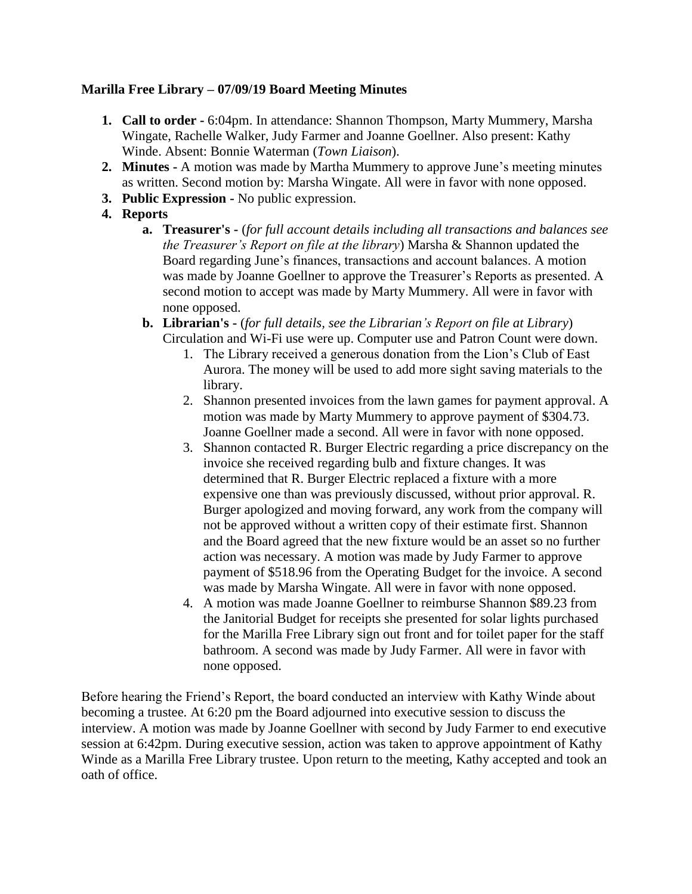## **Marilla Free Library – 07/09/19 Board Meeting Minutes**

- **1. Call to order -** 6:04pm. In attendance: Shannon Thompson, Marty Mummery, Marsha Wingate, Rachelle Walker, Judy Farmer and Joanne Goellner. Also present: Kathy Winde. Absent: Bonnie Waterman (*Town Liaison*).
- **2. Minutes -** A motion was made by Martha Mummery to approve June's meeting minutes as written. Second motion by: Marsha Wingate. All were in favor with none opposed.
- **3. Public Expression -** No public expression.
- **4. Reports**
	- **a. Treasurer's -** (*for full account details including all transactions and balances see the Treasurer's Report on file at the library*) Marsha & Shannon updated the Board regarding June's finances, transactions and account balances. A motion was made by Joanne Goellner to approve the Treasurer's Reports as presented. A second motion to accept was made by Marty Mummery. All were in favor with none opposed.
	- **b. Librarian's -** (*for full details, see the Librarian's Report on file at Library*) Circulation and Wi-Fi use were up. Computer use and Patron Count were down.
		- 1. The Library received a generous donation from the Lion's Club of East Aurora. The money will be used to add more sight saving materials to the library.
		- 2. Shannon presented invoices from the lawn games for payment approval. A motion was made by Marty Mummery to approve payment of \$304.73. Joanne Goellner made a second. All were in favor with none opposed.
		- 3. Shannon contacted R. Burger Electric regarding a price discrepancy on the invoice she received regarding bulb and fixture changes. It was determined that R. Burger Electric replaced a fixture with a more expensive one than was previously discussed, without prior approval. R. Burger apologized and moving forward, any work from the company will not be approved without a written copy of their estimate first. Shannon and the Board agreed that the new fixture would be an asset so no further action was necessary. A motion was made by Judy Farmer to approve payment of \$518.96 from the Operating Budget for the invoice. A second was made by Marsha Wingate. All were in favor with none opposed.
		- 4. A motion was made Joanne Goellner to reimburse Shannon \$89.23 from the Janitorial Budget for receipts she presented for solar lights purchased for the Marilla Free Library sign out front and for toilet paper for the staff bathroom. A second was made by Judy Farmer. All were in favor with none opposed.

Before hearing the Friend's Report, the board conducted an interview with Kathy Winde about becoming a trustee. At 6:20 pm the Board adjourned into executive session to discuss the interview. A motion was made by Joanne Goellner with second by Judy Farmer to end executive session at 6:42pm. During executive session, action was taken to approve appointment of Kathy Winde as a Marilla Free Library trustee. Upon return to the meeting, Kathy accepted and took an oath of office.